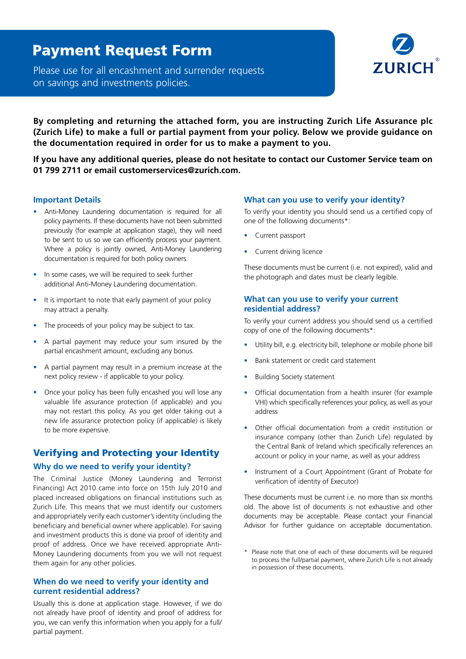## Payment Request Form

Please use for all encashment and surrender requests on savings and investments policies.



**By completing and returning the attached form, you are instructing Zurich Life Assurance plc (Zurich Life) to make a full or partial payment from your policy. Below we provide guidance on the documentation required in order for us to make a payment to you.** 

**If you have any additional queries, please do not hesitate to contact our Customer Service team on 01 799 2711 or email customerservices@zurich.com.**

## **Important Details**

- Anti-Money Laundering documentation is required for all policy payments. If these documents have not been submitted previously (for example at application stage), they will need to be sent to us so we can efficiently process your payment. Where a policy is jointly owned, Anti-Money Laundering documentation is required for both policy owners.
- In some cases, we will be required to seek further additional Anti-Money Laundering documentation.
- It is important to note that early payment of your policy may attract a penalty.
- The proceeds of your policy may be subject to tax.
- A partial payment may reduce your sum insured by the partial encashment amount, excluding any bonus.
- A partial payment may result in a premium increase at the next policy review - if applicable to your policy.
- Once your policy has been fully encashed you will lose any valuable life assurance protection (if applicable) and you may not restart this policy. As you get older taking out a new life assurance protection policy (if applicable) is likely to be more expensive.

## Verifying and Protecting your Identity

## **Why do we need to verify your identity?**

The Criminal Justice (Money Laundering and Terrorist Financing) Act 2010 came into force on 15th July 2010 and placed increased obligations on financial institutions such as Zurich Life. This means that we must identify our customers and appropriately verify each customer's identity (including the beneficiary and beneficial owner where applicable). For saving and investment products this is done via proof of identity and proof of address. Once we have received appropriate Anti-Money Laundering documents from you we will not request them again for any other policies.

## **When do we need to verify your identity and current residential address?**

Usually this is done at application stage. However, if we do not already have proof of identity and proof of address for you, we can verify this information when you apply for a full/ partial payment.

## **What can you use to verify your identity?**

To verify your identity you should send us a certified copy of one of the following documents\*:

- Current passport
- Current driving licence

These documents must be current (i.e. not expired), valid and the photograph and dates must be clearly legible.

## **What can you use to verify your current residential address?**

To verify your current address you should send us a certified copy of one of the following documents\*:

- • Utility bill, e.g. electricity bill, telephone or mobile phone bill
- Bank statement or credit card statement
- **Building Society statement**
- Official documentation from a health insurer (for example VHI) which specifically references your policy, as well as your address
- • Other official documentation from a credit institution or insurance company (other than Zurich Life) regulated by the Central Bank of Ireland which specifically references an account or policy in your name, as well as your address
- Instrument of a Court Appointment (Grant of Probate for verification of identity of Executor)

These documents must be current i.e. no more than six months old. The above list of documents is not exhaustive and other documents may be acceptable. Please contact your Financial Advisor for further guidance on acceptable documentation.

\* Please note that one of each of these documents will be required to process the full/partial payment, where Zurich Life is not already in possession of these documents.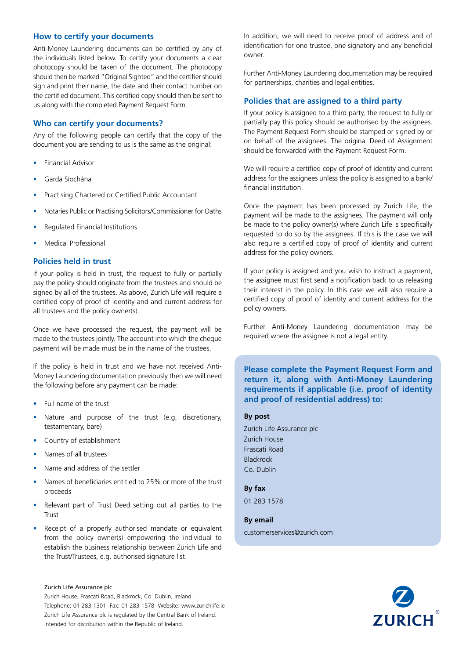## **How to certify your documents**

Anti-Money Laundering documents can be certified by any of the individuals listed below. To certify your documents a clear photocopy should be taken of the document. The photocopy should then be marked "Original Sighted" and the certifier should sign and print their name, the date and their contact number on the certified document. This certified copy should then be sent to us along with the completed Payment Request Form.

## **Who can certify your documents?**

Any of the following people can certify that the copy of the document you are sending to us is the same as the original:

- **Financial Advisor**
- Garda Síochána
- Practising Chartered or Certified Public Accountant
- Notaries Public or Practising Solicitors/Commissioner for Oaths
- Regulated Financial Institutions
- **Medical Professional**

## **Policies held in trust**

If your policy is held in trust, the request to fully or partially pay the policy should originate from the trustees and should be signed by all of the trustees. As above, Zurich Life will require a certified copy of proof of identity and and current address for all trustees and the policy owner(s).

Once we have processed the request, the payment will be made to the trustees jointly. The account into which the cheque payment will be made must be in the name of the trustees.

If the policy is held in trust and we have not received Anti-Money Laundering documentation previously then we will need the following before any payment can be made:

- Full name of the trust
- Nature and purpose of the trust (e.g. discretionary, testamentary, bare)
- Country of establishment
- • Names of all trustees
- Name and address of the settler
- Names of beneficiaries entitled to 25% or more of the trust proceeds
- Relevant part of Trust Deed setting out all parties to the Trust
- Receipt of a properly authorised mandate or equivalent from the policy owner(s) empowering the individual to establish the business relationship between Zurich Life and the Trust/Trustees, e.g. authorised signature list.

#### Zurich Life Assurance plc

Zurich House, Frascati Road, Blackrock, Co. Dublin, Ireland. Telephone: 01 283 1301 Fax: 01 283 1578 Website: www.zurichlife.ie Zurich Life Assurance plc is regulated by the Central Bank of Ireland. Intended for distribution within the Republic of Ireland.

In addition, we will need to receive proof of address and of identification for one trustee, one signatory and any beneficial owner.

Further Anti-Money Laundering documentation may be required for partnerships, charities and legal entities.

## **Policies that are assigned to a third party**

If your policy is assigned to a third party, the request to fully or partially pay this policy should be authorised by the assignees. The Payment Request Form should be stamped or signed by or on behalf of the assignees. The original Deed of Assignment should be forwarded with the Payment Request Form.

We will require a certified copy of proof of identity and current address for the assignees unless the policy is assigned to a bank/ financial institution.

Once the payment has been processed by Zurich Life, the payment will be made to the assignees. The payment will only be made to the policy owner(s) where Zurich Life is specifically requested to do so by the assignees. If this is the case we will also require a certified copy of proof of identity and current address for the policy owners.

If your policy is assigned and you wish to instruct a payment, the assignee must first send a notification back to us releasing their interest in the policy. In this case we will also require a certified copy of proof of identity and current address for the policy owners.

Further Anti-Money Laundering documentation may be required where the assignee is not a legal entity.

**Please complete the Payment Request Form and return it, along with Anti-Money Laundering requirements if applicable (i.e. proof of identity and proof of residential address) to:** 

### **By post**

Zurich Life Assurance plc Zurich House Frascati Road Blackrock Co. Dublin

**By fax**  01 283 1578

#### **By email**

customerservices@zurich.com

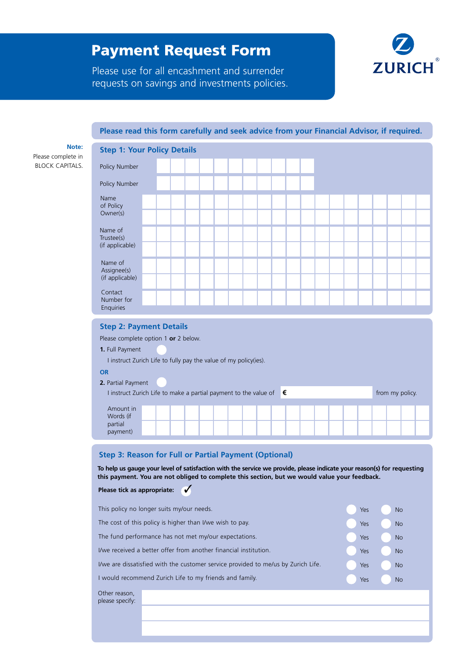# Payment Request Form



Please use for all encashment and surrender requests on savings and investments policies.

## **Please read this form carefully and seek advice from your Financial Advisor, if required.**

**Note:**

Please complete in BLOCK CAPITALS.

| <b>Step 1: Your Policy Details</b>                                                   |  |  |  |  |  |  |  |  |  |  |
|--------------------------------------------------------------------------------------|--|--|--|--|--|--|--|--|--|--|
| Policy Number                                                                        |  |  |  |  |  |  |  |  |  |  |
| Policy Number                                                                        |  |  |  |  |  |  |  |  |  |  |
| Name<br>of Policy                                                                    |  |  |  |  |  |  |  |  |  |  |
| Owner(s)                                                                             |  |  |  |  |  |  |  |  |  |  |
| Name of<br>Trustee(s)                                                                |  |  |  |  |  |  |  |  |  |  |
| (if applicable)                                                                      |  |  |  |  |  |  |  |  |  |  |
| Name of<br>Assignee(s)                                                               |  |  |  |  |  |  |  |  |  |  |
| (if applicable)                                                                      |  |  |  |  |  |  |  |  |  |  |
| Contact<br>Number for                                                                |  |  |  |  |  |  |  |  |  |  |
| Enquiries                                                                            |  |  |  |  |  |  |  |  |  |  |
| <b>Step 2: Payment Details</b><br>그는 어디에 가서 그렇게 어디에 들어가고 있었다. 그는 그는 그만 그만 아니라 그만 없다. |  |  |  |  |  |  |  |  |  |  |

Please complete option 1 **or** 2 below.

### **1.** Full Payment

I instruct Zurich Life to fully pay the value of my policy(ies).

#### **OR**

| 2. Partial Payment                                                          |  |  |  |  |  |  |  |  |  |  |  |                 |  |  |  |  |  |
|-----------------------------------------------------------------------------|--|--|--|--|--|--|--|--|--|--|--|-----------------|--|--|--|--|--|
| I instruct Zurich Life to make a partial payment to the value of $\epsilon$ |  |  |  |  |  |  |  |  |  |  |  | from my policy. |  |  |  |  |  |
|                                                                             |  |  |  |  |  |  |  |  |  |  |  |                 |  |  |  |  |  |
|                                                                             |  |  |  |  |  |  |  |  |  |  |  |                 |  |  |  |  |  |
|                                                                             |  |  |  |  |  |  |  |  |  |  |  |                 |  |  |  |  |  |

## **Step 3: Reason for Full or Partial Payment (Optional)**

**To help us gauge your level of satisfaction with the service we provide, please indicate your reason(s) for requesting this payment. You are not obliged to complete this section, but we would value your feedback.**

#### **Please tick as appropriate:** ✓

| This policy no longer suits my/our needs.                                         | Yes | <b>No</b> |
|-----------------------------------------------------------------------------------|-----|-----------|
| The cost of this policy is higher than I/we wish to pay.                          | Yes | <b>No</b> |
| The fund performance has not met my/our expectations.                             | Yes | <b>No</b> |
| I/we received a better offer from another financial institution.                  | Yes | <b>No</b> |
| I/we are dissatisfied with the customer service provided to me/us by Zurich Life. | Yes | <b>No</b> |
| I would recommend Zurich Life to my friends and family.                           | Yes | <b>No</b> |
| Other reason,<br>please specify:                                                  |     |           |
|                                                                                   |     |           |